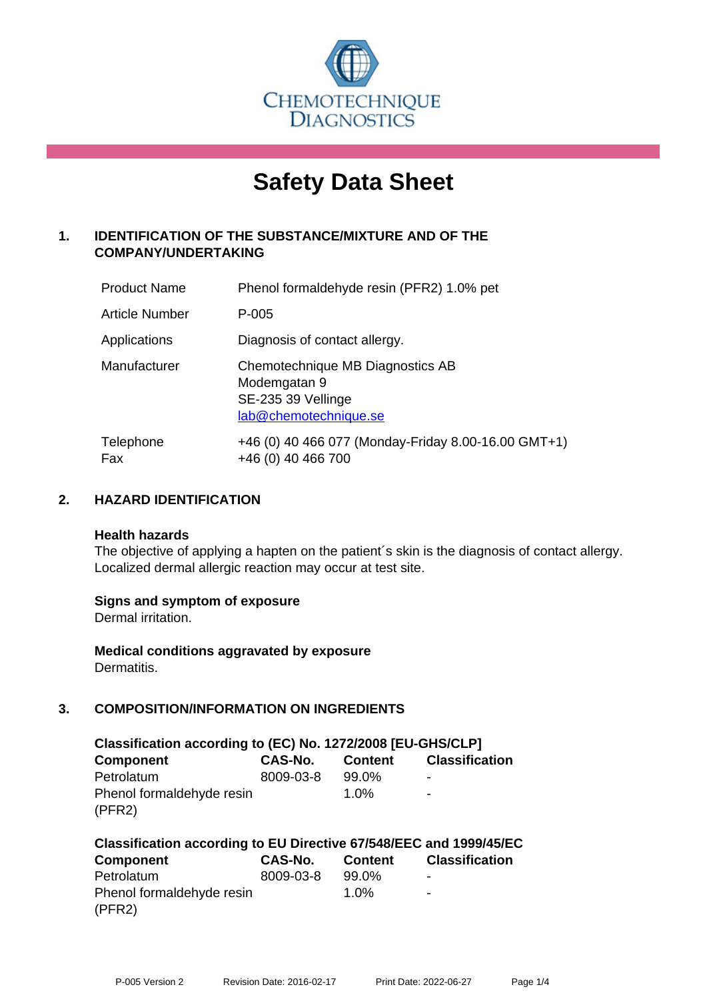

# **Safety Data Sheet**

# **1. IDENTIFICATION OF THE SUBSTANCE/MIXTURE AND OF THE COMPANY/UNDERTAKING**

| <b>Product Name</b>   | Phenol formaldehyde resin (PFR2) 1.0% pet                                                       |
|-----------------------|-------------------------------------------------------------------------------------------------|
| <b>Article Number</b> | P-005                                                                                           |
| Applications          | Diagnosis of contact allergy.                                                                   |
| Manufacturer          | Chemotechnique MB Diagnostics AB<br>Modemgatan 9<br>SE-235 39 Vellinge<br>lab@chemotechnique.se |
| Telephone<br>Fax      | +46 (0) 40 466 077 (Monday-Friday 8.00-16.00 GMT+1)<br>+46 (0) 40 466 700                       |

## **2. HAZARD IDENTIFICATION**

#### **Health hazards**

The objective of applying a hapten on the patient's skin is the diagnosis of contact allergy. Localized dermal allergic reaction may occur at test site.

## **Signs and symptom of exposure**

Dermal irritation.

**Medical conditions aggravated by exposure** Dermatitis.

# **3. COMPOSITION/INFORMATION ON INGREDIENTS**

| Classification according to (EC) No. 1272/2008 [EU-GHS/CLP] |                |                |                       |  |  |
|-------------------------------------------------------------|----------------|----------------|-----------------------|--|--|
| <b>Component</b>                                            | <b>CAS-No.</b> | <b>Content</b> | <b>Classification</b> |  |  |
| Petrolatum                                                  | 8009-03-8      | $99.0\%$       | -                     |  |  |
| Phenol formaldehyde resin                                   |                | $1.0\%$        | $\blacksquare$        |  |  |
| (PFR2)                                                      |                |                |                       |  |  |

| Classification according to EU Directive 67/548/EEC and 1999/45/EC |           |         |                       |  |  |
|--------------------------------------------------------------------|-----------|---------|-----------------------|--|--|
| <b>Component</b>                                                   | CAS-No.   | Content | <b>Classification</b> |  |  |
| Petrolatum                                                         | 8009-03-8 | 99.0%   | -                     |  |  |
| Phenol formaldehyde resin                                          |           | $1.0\%$ | $\blacksquare$        |  |  |
| (PFR2)                                                             |           |         |                       |  |  |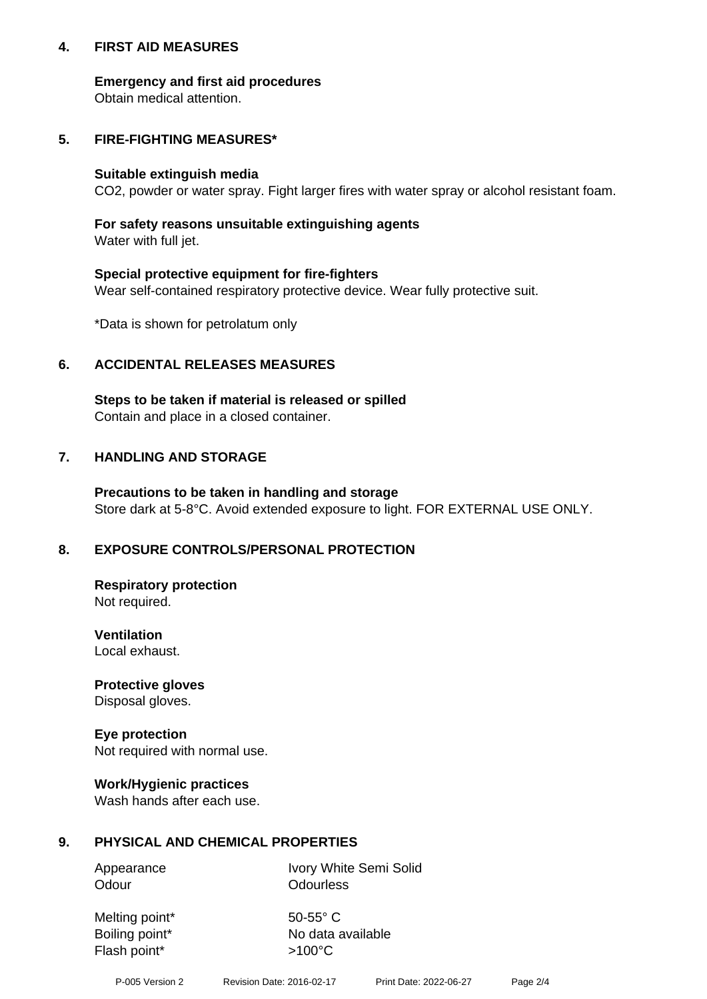## **4. FIRST AID MEASURES**

## **Emergency and first aid procedures**

Obtain medical attention.

## **5. FIRE-FIGHTING MEASURES\***

#### **Suitable extinguish media**

CO2, powder or water spray. Fight larger fires with water spray or alcohol resistant foam.

## **For safety reasons unsuitable extinguishing agents**

Water with full jet.

## **Special protective equipment for fire-fighters**

Wear self-contained respiratory protective device. Wear fully protective suit.

\*Data is shown for petrolatum only

## **6. ACCIDENTAL RELEASES MEASURES**

**Steps to be taken if material is released or spilled** Contain and place in a closed container.

# **7. HANDLING AND STORAGE**

**Precautions to be taken in handling and storage** Store dark at 5-8°C. Avoid extended exposure to light. FOR EXTERNAL USE ONLY.

# **8. EXPOSURE CONTROLS/PERSONAL PROTECTION**

**Respiratory protection** Not required.

**Ventilation** Local exhaust.

**Protective gloves** Disposal gloves.

#### **Eye protection** Not required with normal use.

## **Work/Hygienic practices**

Wash hands after each use.

## **9. PHYSICAL AND CHEMICAL PROPERTIES**

Odour **Odourless** 

Appearance Ivory White Semi Solid

Melting point\* 50-55° C Flash point\*  $>100^{\circ}$ C

Boiling point\* No data available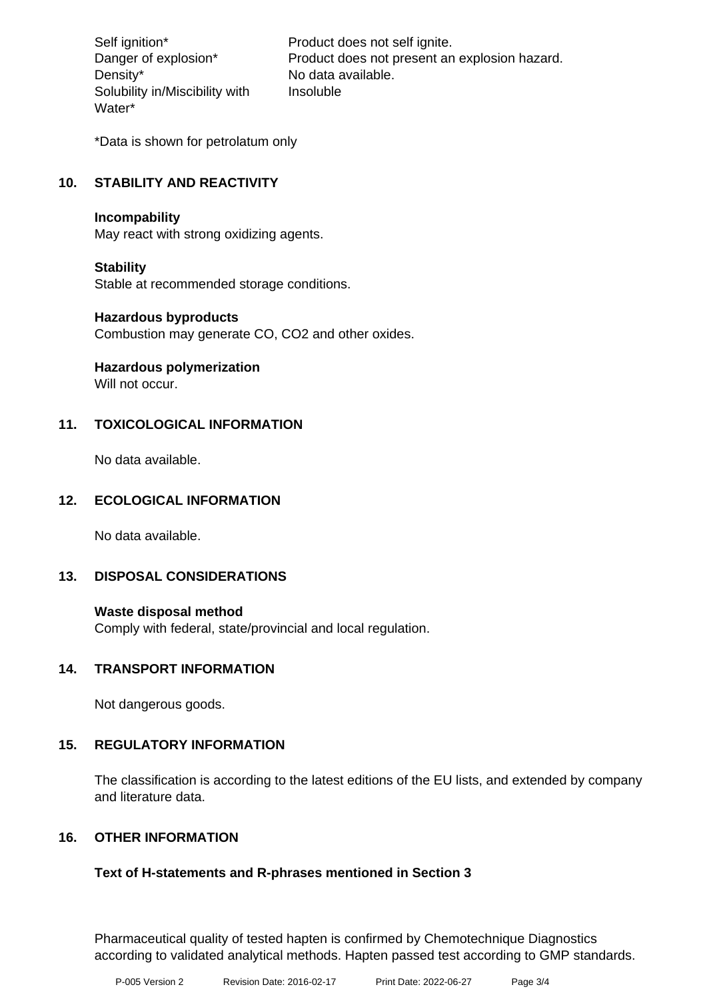Density\* No data available. Solubility in/Miscibility with Water\*

Self ignition\* Product does not self ignite. Danger of explosion\* Product does not present an explosion hazard. Insoluble

\*Data is shown for petrolatum only

## **10. STABILITY AND REACTIVITY**

#### **Incompability**

May react with strong oxidizing agents.

## **Stability**

Stable at recommended storage conditions.

#### **Hazardous byproducts**

Combustion may generate CO, CO2 and other oxides.

**Hazardous polymerization**

Will not occur.

## **11. TOXICOLOGICAL INFORMATION**

No data available.

## **12. ECOLOGICAL INFORMATION**

No data available.

## **13. DISPOSAL CONSIDERATIONS**

#### **Waste disposal method**

Comply with federal, state/provincial and local regulation.

## **14. TRANSPORT INFORMATION**

Not dangerous goods.

## **15. REGULATORY INFORMATION**

The classification is according to the latest editions of the EU lists, and extended by company and literature data.

## **16. OTHER INFORMATION**

## **Text of H-statements and R-phrases mentioned in Section 3**

Pharmaceutical quality of tested hapten is confirmed by Chemotechnique Diagnostics according to validated analytical methods. Hapten passed test according to GMP standards.